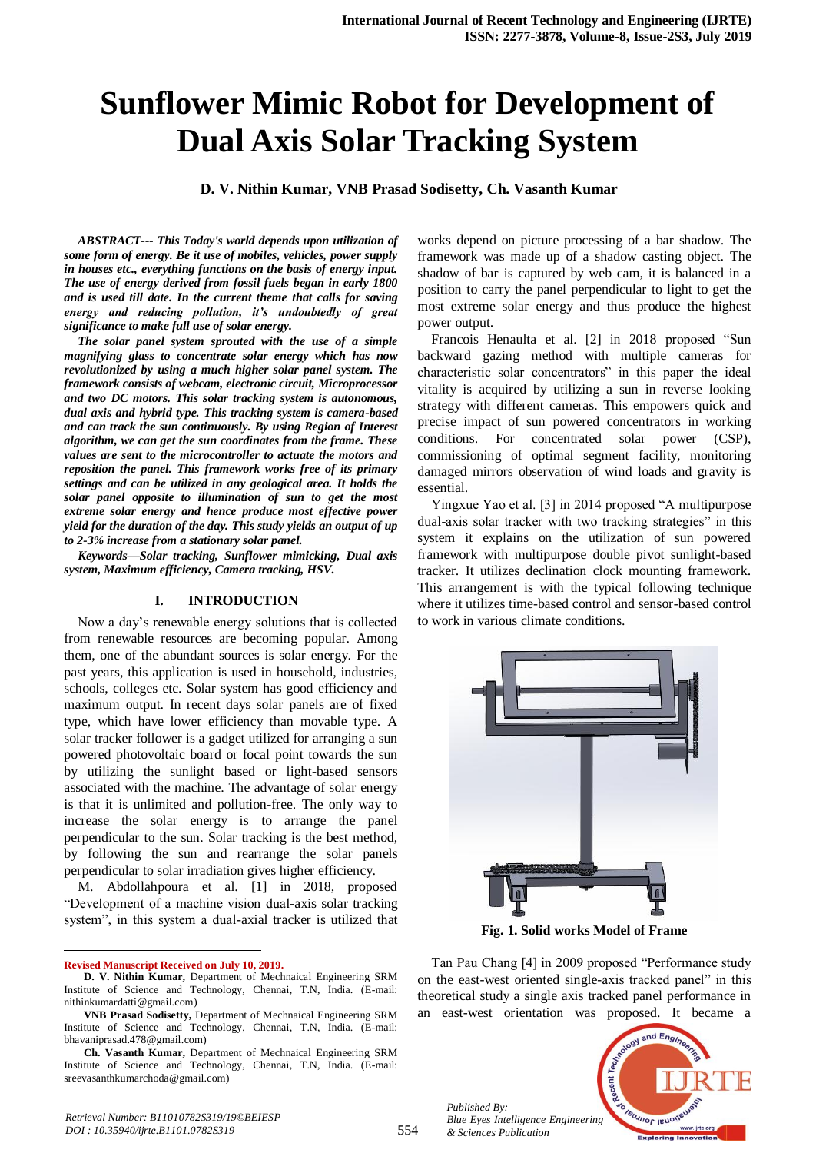# **Sunflower Mimic Robot for Development of Dual Axis Solar Tracking System**

**D. V. Nithin Kumar, VNB Prasad Sodisetty, Ch. Vasanth Kumar** 

*ABSTRACT--- This Today's world depends upon utilization of some form of energy. Be it use of mobiles, vehicles, power supply in houses etc., everything functions on the basis of energy input. The use of energy derived from fossil fuels began in early 1800 and is used till date. In the current theme that calls for saving energy and reducing pollution, it's undoubtedly of great significance to make full use of solar energy.*

*The solar panel system sprouted with the use of a simple magnifying glass to concentrate solar energy which has now revolutionized by using a much higher solar panel system. The framework consists of webcam, electronic circuit, Microprocessor and two DC motors. This solar tracking system is autonomous, dual axis and hybrid type. This tracking system is camera-based and can track the sun continuously. By using Region of Interest algorithm, we can get the sun coordinates from the frame. These values are sent to the microcontroller to actuate the motors and reposition the panel. This framework works free of its primary settings and can be utilized in any geological area. It holds the solar panel opposite to illumination of sun to get the most extreme solar energy and hence produce most effective power yield for the duration of the day. This study yields an output of up to 2-3% increase from a stationary solar panel.*

*Keywords—Solar tracking, Sunflower mimicking, Dual axis system, Maximum efficiency, Camera tracking, HSV.*

#### **I. INTRODUCTION**

Now a day's renewable energy solutions that is collected from renewable resources are becoming popular. Among them, one of the abundant sources is solar energy. For the past years, this application is used in household, industries, schools, colleges etc. Solar system has good efficiency and maximum output. In recent days solar panels are of fixed type, which have lower efficiency than movable type. A solar tracker follower is a gadget utilized for arranging a sun powered photovoltaic board or focal point towards the sun by utilizing the sunlight based or light-based sensors associated with the machine. The advantage of solar energy is that it is unlimited and pollution-free. The only way to increase the solar energy is to arrange the panel perpendicular to the sun. Solar tracking is the best method, by following the sun and rearrange the solar panels perpendicular to solar irradiation gives higher efficiency.

M. Abdollahpoura et al. [1] in 2018, proposed "Development of a machine vision dual-axis solar tracking system", in this system a dual-axial tracker is utilized that

 $\ddot{\phantom{a}}$ **Revised Manuscript Received on July 10, 2019.**

works depend on picture processing of a bar shadow. The framework was made up of a shadow casting object. The shadow of bar is captured by web cam, it is balanced in a position to carry the panel perpendicular to light to get the most extreme solar energy and thus produce the highest power output.

Francois Henaulta et al. [2] in 2018 proposed "Sun backward gazing method with multiple cameras for characteristic solar concentrators" in this paper the ideal vitality is acquired by utilizing a sun in reverse looking strategy with different cameras. This empowers quick and precise impact of sun powered concentrators in working conditions. For concentrated solar power (CSP), commissioning of optimal segment facility, monitoring damaged mirrors observation of wind loads and gravity is essential.

Yingxue Yao et al. [3] in 2014 proposed "A multipurpose dual-axis solar tracker with two tracking strategies" in this system it explains on the utilization of sun powered framework with multipurpose double pivot sunlight-based tracker. It utilizes declination clock mounting framework. This arrangement is with the typical following technique where it utilizes time-based control and sensor-based control to work in various climate conditions.



**Fig. 1. Solid works Model of Frame**

Tan Pau Chang [4] in 2009 proposed "Performance study on the east-west oriented single-axis tracked panel" in this theoretical study a single axis tracked panel performance in an east-west orientation was proposed. It became a



*Published By:*

*& Sciences Publication* 

**D. V. Nithin Kumar,** Department of Mechnaical Engineering SRM Institute of Science and Technology, Chennai, T.N, India. (E-mail: nithinkumardatti@gmail.com)

**VNB Prasad Sodisetty,** Department of Mechnaical Engineering SRM Institute of Science and Technology, Chennai, T.N, India. (E-mail: bhavaniprasad.478@gmail.com)

**Ch. Vasanth Kumar,** Department of Mechnaical Engineering SRM Institute of Science and Technology, Chennai, T.N, India. (E-mail: sreevasanthkumarchoda@gmail.com)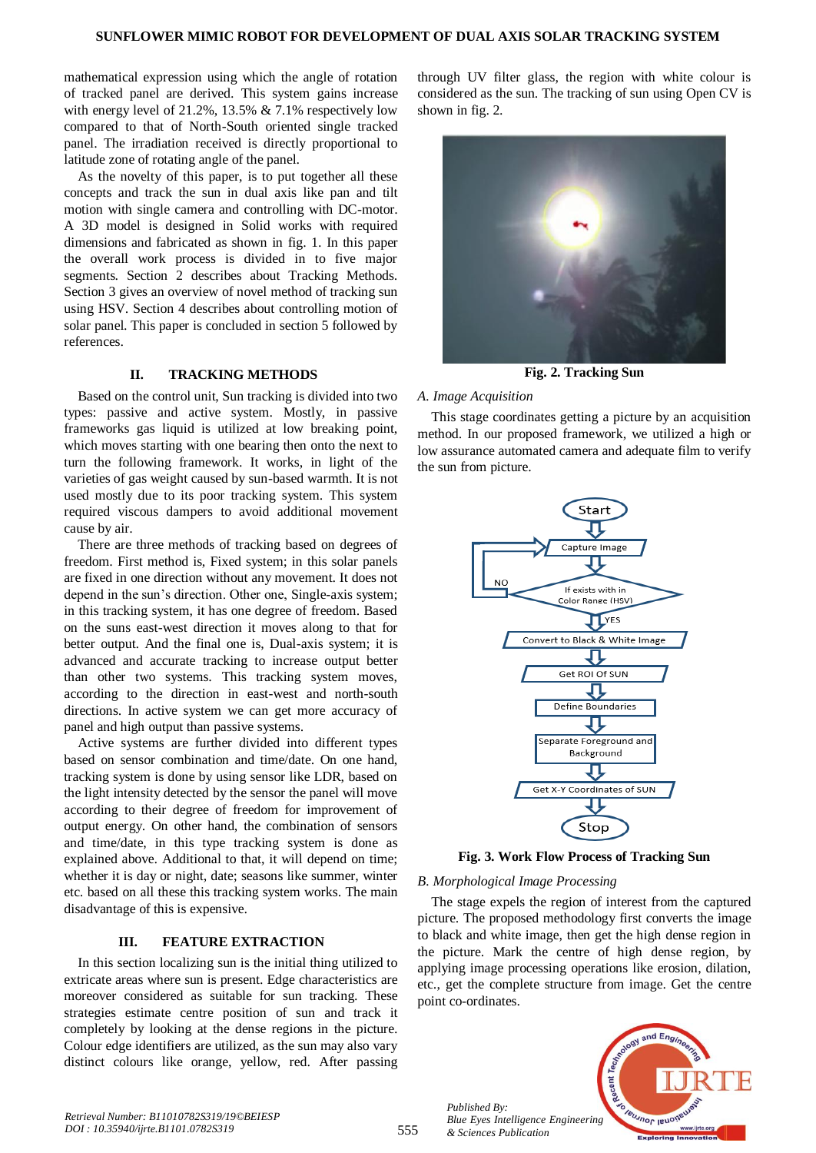mathematical expression using which the angle of rotation of tracked panel are derived. This system gains increase with energy level of 21.2%, 13.5% & 7.1% respectively low compared to that of North-South oriented single tracked panel. The irradiation received is directly proportional to latitude zone of rotating angle of the panel.

As the novelty of this paper, is to put together all these concepts and track the sun in dual axis like pan and tilt motion with single camera and controlling with DC-motor. A 3D model is designed in Solid works with required dimensions and fabricated as shown in fig. 1. In this paper the overall work process is divided in to five major segments. Section 2 describes about Tracking Methods. Section 3 gives an overview of novel method of tracking sun using HSV. Section 4 describes about controlling motion of solar panel. This paper is concluded in section 5 followed by references.

#### **II. TRACKING METHODS**

Based on the control unit, Sun tracking is divided into two types: passive and active system. Mostly, in passive frameworks gas liquid is utilized at low breaking point, which moves starting with one bearing then onto the next to turn the following framework. It works, in light of the varieties of gas weight caused by sun-based warmth. It is not used mostly due to its poor tracking system. This system required viscous dampers to avoid additional movement cause by air.

There are three methods of tracking based on degrees of freedom. First method is, Fixed system; in this solar panels are fixed in one direction without any movement. It does not depend in the sun's direction. Other one, Single-axis system; in this tracking system, it has one degree of freedom. Based on the suns east-west direction it moves along to that for better output. And the final one is, Dual-axis system; it is advanced and accurate tracking to increase output better than other two systems. This tracking system moves, according to the direction in east-west and north-south directions. In active system we can get more accuracy of panel and high output than passive systems.

Active systems are further divided into different types based on sensor combination and time/date. On one hand, tracking system is done by using sensor like LDR, based on the light intensity detected by the sensor the panel will move according to their degree of freedom for improvement of output energy. On other hand, the combination of sensors and time/date, in this type tracking system is done as explained above. Additional to that, it will depend on time; whether it is day or night, date; seasons like summer, winter etc. based on all these this tracking system works. The main disadvantage of this is expensive.

#### **III. FEATURE EXTRACTION**

In this section localizing sun is the initial thing utilized to extricate areas where sun is present. Edge characteristics are moreover considered as suitable for sun tracking. These strategies estimate centre position of sun and track it completely by looking at the dense regions in the picture. Colour edge identifiers are utilized, as the sun may also vary distinct colours like orange, yellow, red. After passing

through UV filter glass, the region with white colour is considered as the sun. The tracking of sun using Open CV is shown in fig. 2.



**Fig. 2. Tracking Sun**

### *A. Image Acquisition*

This stage coordinates getting a picture by an acquisition method. In our proposed framework, we utilized a high or low assurance automated camera and adequate film to verify the sun from picture.



**Fig. 3. Work Flow Process of Tracking Sun**

#### *B. Morphological Image Processing*

The stage expels the region of interest from the captured picture. The proposed methodology first converts the image to black and white image, then get the high dense region in the picture. Mark the centre of high dense region, by applying image processing operations like erosion, dilation, etc., get the complete structure from image. Get the centre point co-ordinates.



*Published By:*

*& Sciences Publication*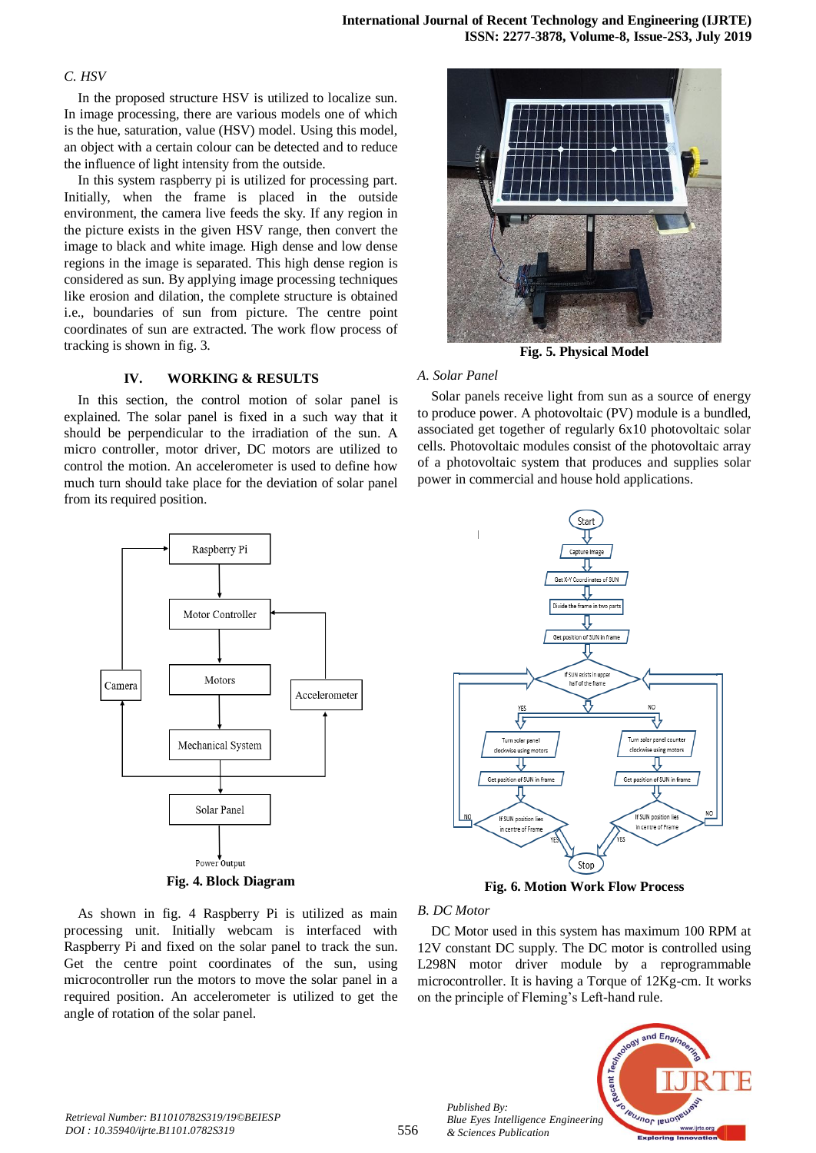#### *C. HSV*

In the proposed structure HSV is utilized to localize sun. In image processing, there are various models one of which is the hue, saturation, value (HSV) model. Using this model, an object with a certain colour can be detected and to reduce the influence of light intensity from the outside.

In this system raspberry pi is utilized for processing part. Initially, when the frame is placed in the outside environment, the camera live feeds the sky. If any region in the picture exists in the given HSV range, then convert the image to black and white image. High dense and low dense regions in the image is separated. This high dense region is considered as sun. By applying image processing techniques like erosion and dilation, the complete structure is obtained i.e., boundaries of sun from picture. The centre point coordinates of sun are extracted. The work flow process of tracking is shown in fig. 3.

#### **IV. WORKING & RESULTS**

In this section, the control motion of solar panel is explained. The solar panel is fixed in a such way that it should be perpendicular to the irradiation of the sun. A micro controller, motor driver, DC motors are utilized to control the motion. An accelerometer is used to define how much turn should take place for the deviation of solar panel from its required position.



**Fig. 4. Block Diagram**

As shown in fig. 4 Raspberry Pi is utilized as main processing unit. Initially webcam is interfaced with Raspberry Pi and fixed on the solar panel to track the sun. Get the centre point coordinates of the sun, using microcontroller run the motors to move the solar panel in a required position. An accelerometer is utilized to get the angle of rotation of the solar panel.



**Fig. 5. Physical Model**

#### *A. Solar Panel*

Solar panels receive light from sun as a source of energy to produce power. A photovoltaic (PV) module is a bundled, associated get together of regularly 6x10 photovoltaic solar cells. Photovoltaic modules consist of the photovoltaic array of a photovoltaic system that produces and supplies solar power in commercial and house hold applications.



**Fig. 6. Motion Work Flow Process**

#### *B. DC Motor*

*Published By:*

*& Sciences Publication* 

DC Motor used in this system has maximum 100 RPM at 12V constant DC supply. The DC motor is controlled using L298N motor driver module by a reprogrammable microcontroller. It is having a Torque of 12Kg-cm. It works on the principle of Fleming's Left-hand rule.